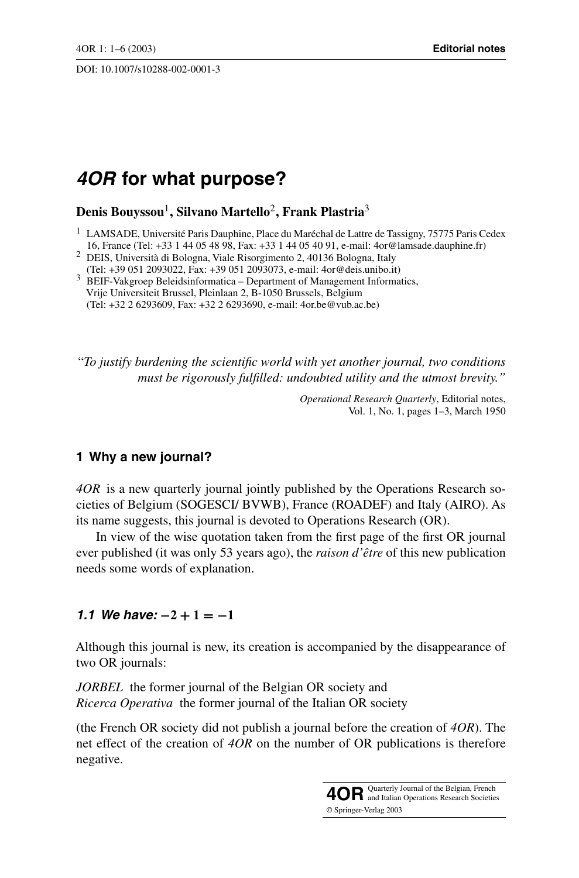DOI: 10.1007/s10288-002-0001-3

# *4OR* **for what purpose?**

# **Denis Bouyssou**1**, Silvano Martello**2**, Frank Plastria**<sup>3</sup>

"*To justify burdening the scientific world with yet another journal, two conditions must be rigorously fulfilled: undoubted utility and the utmost brevity."*

> *Operational Research Quarterly*, Editorial notes, Vol. 1, No. 1, pages 1–3, March 1950

## **1 Why a new journal?**

*4OR* is a new quarterly journal jointly published by the Operations Research societies of Belgium (SOGESCI/ BVWB), France (ROADEF) and Italy (AIRO). As its name suggests, this journal is devoted to Operations Research (OR).

In view of the wise quotation taken from the first page of the first OR journal ever published (it was only 53 years ago), the *raison d'être* of this new publication needs some words of explanation.

## *1.1 We have:* **−2 + 1 = −1**

Although this journal is new, its creation is accompanied by the disappearance of two OR journals:

*JORBEL* the former journal of the Belgian OR society and *Ricerca Operativa* the former journal of the Italian OR society

(the French OR society did not publish a journal before the creation of *4OR*). The net effect of the creation of *4OR* on the number of OR publications is therefore negative.



<sup>&</sup>lt;sup>1</sup> LAMSADE, Université Paris Dauphine, Place du Maréchal de Lattre de Tassigny, 75775 Paris Cedex 16, France (Tel: +33 1 44 05 48 98, Fax: +33 1 44 05 40 91, e-mail: 4or@lamsade.dauphine.fr) <sup>2</sup> DEIS, Università di Bologna, Viale Risorgimento 2, 40136 Bologna, Italy

<sup>(</sup>Tel: +39 051 2093022, Fax: +39 051 2093073, e-mail: 4or@deis.unibo.it)

<sup>3</sup> BEIF-Vakgroep Beleidsinformatica – Department of Management Informatics, Vrije Universiteit Brussel, Pleinlaan 2, B-1050 Brussels, Belgium (Tel: +32 2 6293609, Fax: +32 2 6293690, e-mail: 4or.be@vub.ac.be)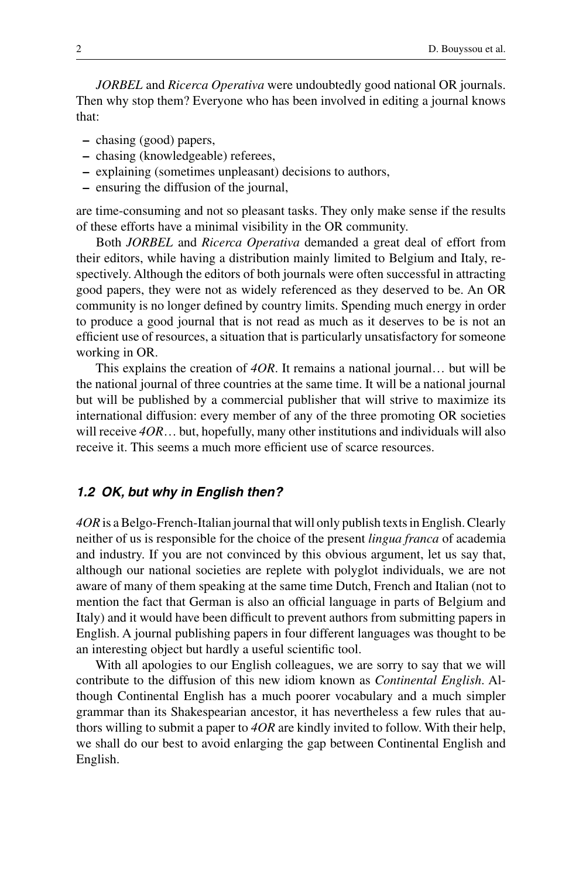*JORBEL* and *Ricerca Operativa* were undoubtedly good national OR journals. Then why stop them? Everyone who has been involved in editing a journal knows that:

- **–** chasing (good) papers,
- **–** chasing (knowledgeable) referees,
- **–** explaining (sometimes unpleasant) decisions to authors,
- **–** ensuring the diffusion of the journal,

are time-consuming and not so pleasant tasks. They only make sense if the results of these efforts have a minimal visibility in the OR community.

Both *JORBEL* and *Ricerca Operativa* demanded a great deal of effort from their editors, while having a distribution mainly limited to Belgium and Italy, respectively. Although the editors of both journals were often successful in attracting good papers, they were not as widely referenced as they deserved to be. An OR community is no longer defined by country limits. Spending much energy in order to produce a good journal that is not read as much as it deserves to be is not an efficient use of resources, a situation that is particularly unsatisfactory for someone working in OR.

This explains the creation of *4OR*. It remains a national journal… but will be the national journal of three countries at the same time. It will be a national journal but will be published by a commercial publisher that will strive to maximize its international diffusion: every member of any of the three promoting OR societies will receive  $4OR...$  but, hopefully, many other institutions and individuals will also receive it. This seems a much more efficient use of scarce resources.

## *1.2 OK, but why in English then?*

*4OR* is a Belgo-French-Italian journal that will only publish texts in English. Clearly neither of us is responsible for the choice of the present *lingua franca* of academia and industry. If you are not convinced by this obvious argument, let us say that, although our national societies are replete with polyglot individuals, we are not aware of many of them speaking at the same time Dutch, French and Italian (not to mention the fact that German is also an official language in parts of Belgium and Italy) and it would have been difficult to prevent authors from submitting papers in English. A journal publishing papers in four different languages was thought to be an interesting object but hardly a useful scientific tool.

With all apologies to our English colleagues, we are sorry to say that we will contribute to the diffusion of this new idiom known as *Continental English*. Although Continental English has a much poorer vocabulary and a much simpler grammar than its Shakespearian ancestor, it has nevertheless a few rules that authors willing to submit a paper to *4OR* are kindly invited to follow. With their help, we shall do our best to avoid enlarging the gap between Continental English and English.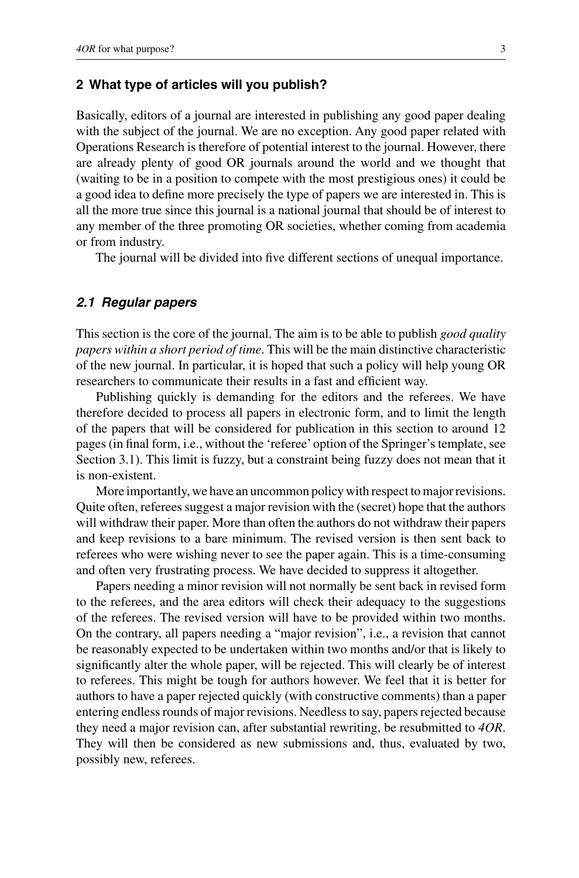#### **2 What type of articles will you publish?**

Basically, editors of a journal are interested in publishing any good paper dealing with the subject of the journal. We are no exception. Any good paper related with Operations Research is therefore of potential interest to the journal. However, there are already plenty of good OR journals around the world and we thought that (waiting to be in a position to compete with the most prestigious ones) it could be a good idea to define more precisely the type of papers we are interested in. This is all the more true since this journal is a national journal that should be of interest to any member of the three promoting OR societies, whether coming from academia or from industry.

The journal will be divided into five different sections of unequal importance.

## *2.1 Regular papers*

This section is the core of the journal. The aim is to be able to publish *good quality papers within a short period of time*. This will be the main distinctive characteristic of the new journal. In particular, it is hoped that such a policy will help young OR researchers to communicate their results in a fast and efficient way.

Publishing quickly is demanding for the editors and the referees. We have therefore decided to process all papers in electronic form, and to limit the length of the papers that will be considered for publication in this section to around 12 pages (in final form, i.e., without the 'referee' option of the Springer's template, see Section 3.1). This limit is fuzzy, but a constraint being fuzzy does not mean that it is non-existent.

More importantly, we have an uncommon policy with respect to major revisions. Quite often, referees suggest a major revision with the (secret) hope that the authors will withdraw their paper. More than often the authors do not withdraw their papers and keep revisions to a bare minimum. The revised version is then sent back to referees who were wishing never to see the paper again. This is a time-consuming and often very frustrating process. We have decided to suppress it altogether.

Papers needing a minor revision will not normally be sent back in revised form to the referees, and the area editors will check their adequacy to the suggestions of the referees. The revised version will have to be provided within two months. On the contrary, all papers needing a "major revision", i.e., a revision that cannot be reasonably expected to be undertaken within two months and/or that is likely to significantly alter the whole paper, will be rejected. This will clearly be of interest to referees. This might be tough for authors however. We feel that it is better for authors to have a paper rejected quickly (with constructive comments) than a paper entering endless rounds of major revisions. Needless to say, papers rejected because they need a major revision can, after substantial rewriting, be resubmitted to *4OR*. They will then be considered as new submissions and, thus, evaluated by two, possibly new, referees.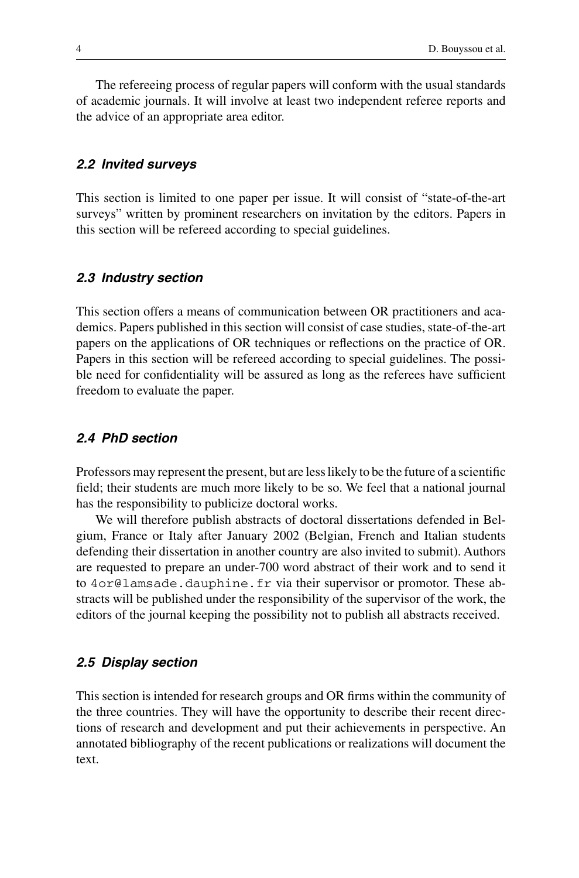The refereeing process of regular papers will conform with the usual standards of academic journals. It will involve at least two independent referee reports and the advice of an appropriate area editor.

#### *2.2 Invited surveys*

This section is limited to one paper per issue. It will consist of "state-of-the-art surveys" written by prominent researchers on invitation by the editors. Papers in this section will be refereed according to special guidelines.

#### *2.3 Industry section*

This section offers a means of communication between OR practitioners and academics. Papers published in this section will consist of case studies, state-of-the-art papers on the applications of OR techniques or reflections on the practice of OR. Papers in this section will be refereed according to special guidelines. The possible need for confidentiality will be assured as long as the referees have sufficient freedom to evaluate the paper.

### *2.4 PhD section*

Professors may represent the present, but are less likely to be the future of a scientific field; their students are much more likely to be so. We feel that a national journal has the responsibility to publicize doctoral works.

We will therefore publish abstracts of doctoral dissertations defended in Belgium, France or Italy after January 2002 (Belgian, French and Italian students defending their dissertation in another country are also invited to submit). Authors are requested to prepare an under-700 word abstract of their work and to send it to 4or@lamsade.dauphine.fr via their supervisor or promotor. These abstracts will be published under the responsibility of the supervisor of the work, the editors of the journal keeping the possibility not to publish all abstracts received.

#### *2.5 Display section*

This section is intended for research groups and OR firms within the community of the three countries. They will have the opportunity to describe their recent directions of research and development and put their achievements in perspective. An annotated bibliography of the recent publications or realizations will document the text.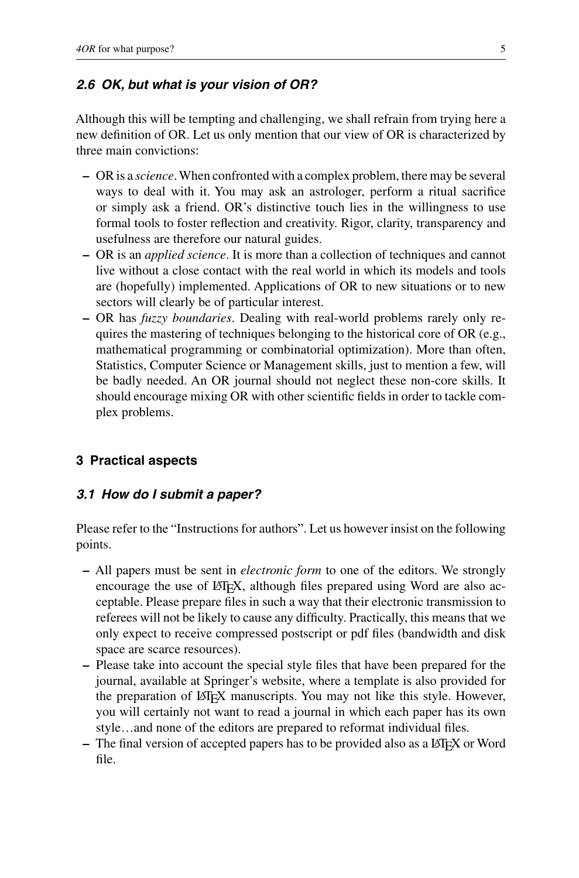## *2.6 OK, but what is your vision of OR?*

Although this will be tempting and challenging, we shall refrain from trying here a new definition of OR. Let us only mention that our view of OR is characterized by three main convictions:

- **–** OR is a *science*.When confronted with a complex problem, there may be several ways to deal with it. You may ask an astrologer, perform a ritual sacrifice or simply ask a friend. OR's distinctive touch lies in the willingness to use formal tools to foster reflection and creativity. Rigor, clarity, transparency and usefulness are therefore our natural guides.
- **–** OR is an *applied science*. It is more than a collection of techniques and cannot live without a close contact with the real world in which its models and tools are (hopefully) implemented. Applications of OR to new situations or to new sectors will clearly be of particular interest.
- **–** OR has *fuzzy boundaries*. Dealing with real-world problems rarely only requires the mastering of techniques belonging to the historical core of OR (e.g., mathematical programming or combinatorial optimization). More than often, Statistics, Computer Science or Management skills, just to mention a few, will be badly needed. An OR journal should not neglect these non-core skills. It should encourage mixing OR with other scientific fields in order to tackle complex problems.

## **3 Practical aspects**

## *3.1 How do I submit a paper?*

Please refer to the "Instructions for authors". Let us however insist on the following points.

- **–** All papers must be sent in *electronic form* to one of the editors. We strongly encourage the use of LAT<sub>EX</sub>, although files prepared using Word are also acceptable. Please prepare files in such a way that their electronic transmission to referees will not be likely to cause any difficulty. Practically, this means that we only expect to receive compressed postscript or pdf files (bandwidth and disk space are scarce resources).
- **–** Please take into account the special style files that have been prepared for the journal, available at Springer's website, where a template is also provided for the preparation of LATEX manuscripts. You may not like this style. However, you will certainly not want to read a journal in which each paper has its own style…and none of the editors are prepared to reformat individual files.
- **–** The final version of accepted papers has to be provided also as a LATEX or Word file.